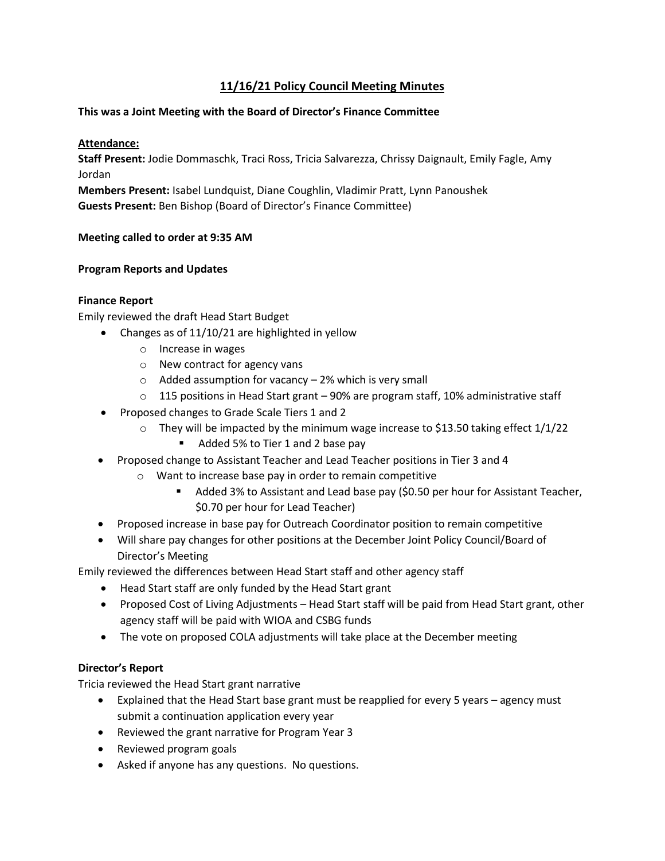# **11/16/21 Policy Council Meeting Minutes**

## **This was a Joint Meeting with the Board of Director's Finance Committee**

### **Attendance:**

**Staff Present:** Jodie Dommaschk, Traci Ross, Tricia Salvarezza, Chrissy Daignault, Emily Fagle, Amy Jordan

**Members Present:** Isabel Lundquist, Diane Coughlin, Vladimir Pratt, Lynn Panoushek **Guests Present:** Ben Bishop (Board of Director's Finance Committee)

#### **Meeting called to order at 9:35 AM**

### **Program Reports and Updates**

### **Finance Report**

Emily reviewed the draft Head Start Budget

- Changes as of 11/10/21 are highlighted in yellow
	- o Increase in wages
	- o New contract for agency vans
	- $\circ$  Added assumption for vacancy 2% which is very small
	- $\circ$  115 positions in Head Start grant 90% are program staff, 10% administrative staff
- Proposed changes to Grade Scale Tiers 1 and 2
	- $\circ$  They will be impacted by the minimum wage increase to \$13.50 taking effect 1/1/22
		- Added 5% to Tier 1 and 2 base pay
- Proposed change to Assistant Teacher and Lead Teacher positions in Tier 3 and 4
	- o Want to increase base pay in order to remain competitive
		- Added 3% to Assistant and Lead base pay (\$0.50 per hour for Assistant Teacher, \$0.70 per hour for Lead Teacher)
- Proposed increase in base pay for Outreach Coordinator position to remain competitive
- Will share pay changes for other positions at the December Joint Policy Council/Board of Director's Meeting

Emily reviewed the differences between Head Start staff and other agency staff

- Head Start staff are only funded by the Head Start grant
- Proposed Cost of Living Adjustments Head Start staff will be paid from Head Start grant, other agency staff will be paid with WIOA and CSBG funds
- The vote on proposed COLA adjustments will take place at the December meeting

# **Director's Report**

Tricia reviewed the Head Start grant narrative

- Explained that the Head Start base grant must be reapplied for every 5 years agency must submit a continuation application every year
- Reviewed the grant narrative for Program Year 3
- Reviewed program goals
- Asked if anyone has any questions. No questions.